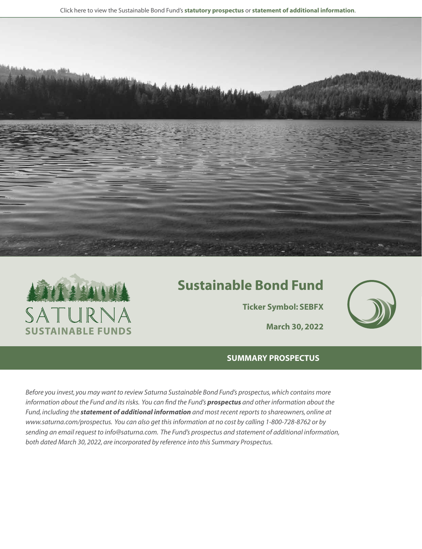Click here to view the Sustainable Bond Fund's **[statutory prospectus](https://www.saturna.com/sites/saturna.com/files/files/Saturna_Sustainable_Prospectus.pdf)** or **[statement of additional information](https://www.saturna.com/sites/saturna.com/files/files/SIT_SAI.pdf)**.





# **Sustainable Bond Fund**

**Ticker Symbol: SEBFX**



## **SUMMARY PROSPECTUS**

*Before you invest, you may want to review Saturna Sustainable Bond Fund's prospectus, which contains more information about the Fund and its risks. You can find the Fund's [prospectus](https://www.saturna.com/sites/saturna.com/files/files/Saturna_Sustainable_Prospectus.pdf) and other information about the Fund, including the [statement of additional information](https://www.saturna.com/sites/saturna.com/files/files/SIT_SAI.pdf) and most recent reports to shareowners, online at www.saturna.com/prospectus. You can also get this information at no cost by calling 1-800-728-8762 or by sending an email request to info@saturna.com. The Fund's prospectus and statement of additional information, both dated March 30, 2022, are incorporated by reference into this Summary Prospectus.*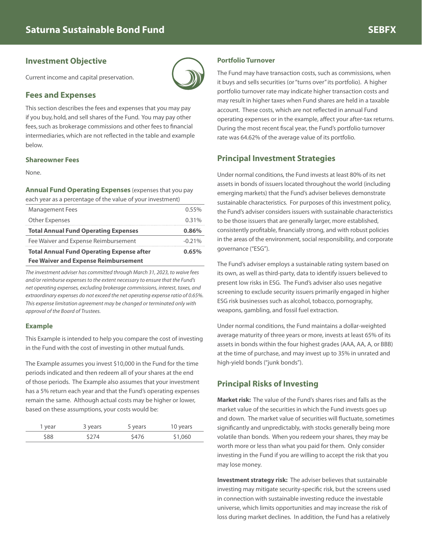## **Investment Objective**

Current income and capital preservation.

## **Fees and Expenses**

This section describes the fees and expenses that you may pay if you buy, hold, and sell shares of the Fund. You may pay other fees, such as brokerage commissions and other fees to financial intermediaries, which are not reflected in the table and example below.

### **Shareowner Fees**

None.

**Annual Fund Operating Expenses** (expenses that you pay each year as a percentage of the value of your investment)

| calliveal as a percentage of the value of your investment) |          |
|------------------------------------------------------------|----------|
| <b>Management Fees</b>                                     | 0.55%    |
| <b>Other Expenses</b>                                      | 0.31%    |
| <b>Total Annual Fund Operating Expenses</b>                | 0.86%    |
| Fee Waiver and Expense Reimbursement                       | $-0.21%$ |
| <b>Total Annual Fund Operating Expense after</b>           | 0.65%    |
| <b>Fee Waiver and Expense Reimbursement</b>                |          |

*The investment adviser has committed through March 31, 2023, to waive fees and/or reimburse expenses to the extent necessary to ensure that the Fund's net operating expenses, excluding brokerage commissions, interest, taxes, and extraordinary expenses do not exceed the net operating expense ratio of 0.65%. This expense limitation agreement may be changed or terminated only with approval of the Board of Trustees.*

#### **Example**

This Example is intended to help you compare the cost of investing in the Fund with the cost of investing in other mutual funds.

The Example assumes you invest \$10,000 in the Fund for the time periods indicated and then redeem all of your shares at the end of those periods. The Example also assumes that your investment has a 5% return each year and that the Fund's operating expenses remain the same. Although actual costs may be higher or lower, based on these assumptions, your costs would be:

| I year | 3 years | 5 years | 10 years |
|--------|---------|---------|----------|
| \$88   | \$274   | \$476   | \$1,060  |

## **Portfolio Turnover**

The Fund may have transaction costs, such as commissions, when it buys and sells securities (or "turns over" its portfolio). A higher portfolio turnover rate may indicate higher transaction costs and may result in higher taxes when Fund shares are held in a taxable account. These costs, which are not reflected in annual Fund operating expenses or in the example, affect your after-tax returns. During the most recent fiscal year, the Fund's portfolio turnover rate was 64.62% of the average value of its portfolio.

## **Principal Investment Strategies**

Under normal conditions, the Fund invests at least 80% of its net assets in bonds of issuers located throughout the world (including emerging markets) that the Fund's adviser believes demonstrate sustainable characteristics. For purposes of this investment policy, the Fund's adviser considers issuers with sustainable characteristics to be those issuers that are generally larger, more established, consistently profitable, financially strong, and with robust policies in the areas of the environment, social responsibility, and corporate governance ("ESG").

The Fund's adviser employs a sustainable rating system based on its own, as well as third-party, data to identify issuers believed to present low risks in ESG. The Fund's adviser also uses negative screening to exclude security issuers primarily engaged in higher ESG risk businesses such as alcohol, tobacco, pornography, weapons, gambling, and fossil fuel extraction.

Under normal conditions, the Fund maintains a dollar-weighted average maturity of three years or more, invests at least 65% of its assets in bonds within the four highest grades (AAA, AA, A, or BBB) at the time of purchase, and may invest up to 35% in unrated and high-yield bonds ("junk bonds").

## **Principal Risks of Investing**

**Market risk:** The value of the Fund's shares rises and falls as the market value of the securities in which the Fund invests goes up and down. The market value of securities will fluctuate, sometimes significantly and unpredictably, with stocks generally being more volatile than bonds. When you redeem your shares, they may be worth more or less than what you paid for them. Only consider investing in the Fund if you are willing to accept the risk that you may lose money.

**Investment strategy risk:** The adviser believes that sustainable investing may mitigate security-specific risk, but the screens used in connection with sustainable investing reduce the investable universe, which limits opportunities and may increase the risk of loss during market declines. In addition, the Fund has a relatively

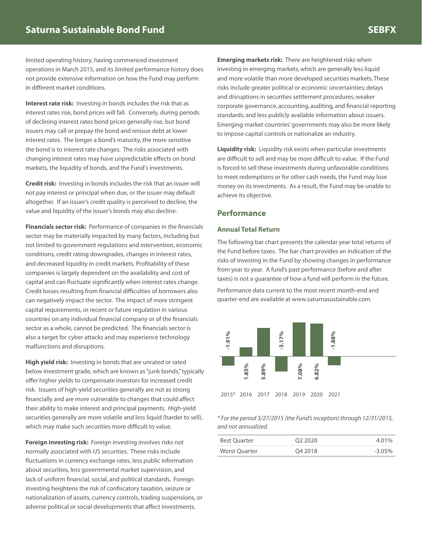limited operating history, having commenced investment operations in March 2015, and its limited performance history does not provide extensive information on how the Fund may perform in different market conditions.

**Interest rate risk:** Investing in bonds includes the risk that as interest rates rise, bond prices will fall. Conversely, during periods of declining interest rates bond prices generally rise, but bond issuers may call or prepay the bond and reissue debt at lower interest rates. The longer a bond's maturity, the more sensitive the bond is to interest rate changes. The risks associated with changing interest rates may have unpredictable effects on bond markets, the liquidity of bonds, and the Fund's investments.

**Credit risk:** Investing in bonds includes the risk that an issuer will not pay interest or principal when due, or the issuer may default altogether. If an issuer's credit quality is perceived to decline, the value and liquidity of the issuer's bonds may also decline.

**Financials sector risk:** Performance of companies in the financials sector may be materially impacted by many factors, including but not limited to government regulations and intervention, economic conditions, credit rating downgrades, changes in interest rates, and decreased liquidity in credit markets. Profitability of these companies is largely dependent on the availability and cost of capital and can fluctuate significantly when interest rates change. Credit losses resulting from financial difficulties of borrowers also can negatively impact the sector. The impact of more stringent capital requirements, or recent or future regulation in various countries on any individual financial company or of the financials sector as a whole, cannot be predicted. The financials sector is also a target for cyber attacks and may experience technology malfunctions and disruptions.

**High yield risk:** Investing in bonds that are unrated or rated below investment grade, which are known as "junk bonds," typically offer higher yields to compensate investors for increased credit risk. Issuers of high-yield securities generally are not as strong financially and are more vulnerable to changes that could affect their ability to make interest and principal payments. High-yield securities generally are more volatile and less liquid (harder to sell), which may make such securities more difficult to value.

**Foreign investing risk:** Foreign investing involves risks not normally associated with US securities. These risks include fluctuations in currency exchange rates, less public information about securities, less governmental market supervision, and lack of uniform financial, social, and political standards. Foreign investing heightens the risk of confiscatory taxation, seizure or nationalization of assets, currency controls, trading suspensions, or adverse political or social developments that affect investments.

**Emerging markets risk:** There are heightened risks when investing in emerging markets, which are generally less liquid and more volatile than more developed securities markets. These risks include greater political or economic uncertainties; delays and disruptions in securities settlement procedures; weaker corporate governance, accounting, auditing, and financial reporting standards; and less publicly available information about issuers. Emerging market countries' governments may also be more likely to impose capital controls or nationalize an industry.

**Liquidity risk:** Liquidity risk exists when particular investments are difficult to sell and may be more difficult to value. If the Fund is forced to sell these investments during unfavorable conditions to meet redemptions or for other cash needs, the Fund may lose money on its investments. As a result, the Fund may be unable to achieve its objective.

## **Performance**

#### **Annual Total Return**

The following bar chart presents the calendar year total returns of the Fund before taxes. The bar chart provides an indication of the risks of investing in the Fund by showing changes in performance from year to year. A fund's past performance (before and after taxes) is not a guarantee of how a fund will perform in the future.

Performance data current to the most recent month-end and quarter-end are available at www.saturnasustainable.com.



#### *\* For the period 3/27/2015 (the Fund's inception) through 12/31/2015, and not annualized.*

| <b>Best Ouarter</b> | O <sub>2</sub> 2020 | 4.01%  |
|---------------------|---------------------|--------|
| Worst Quarter       | O4 2018             | -3.05% |